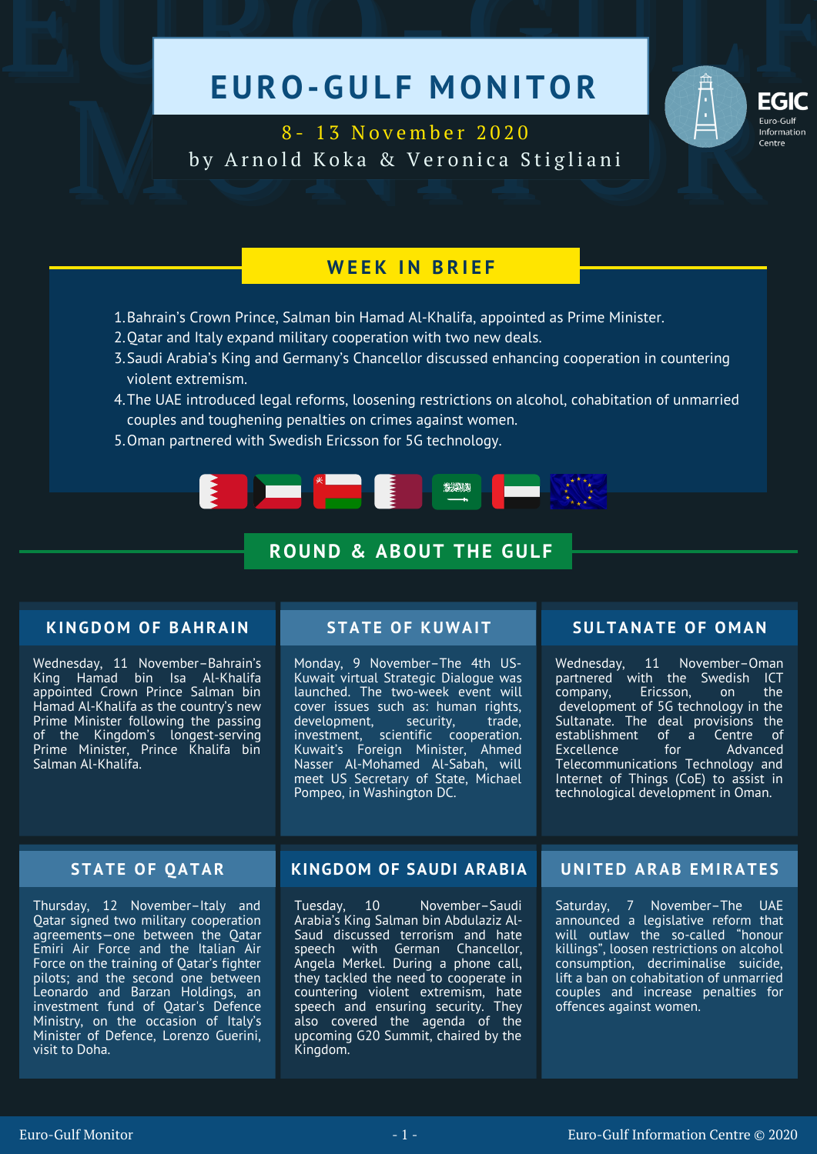# EURO-GULF MONITOR



B-13 November 2020<br>by Arnold Koka & Veronica Stigliani 8 - 1 3 N o v e m b e r 2 0 2 0 by Arnold Koka & Veronica Stigliani

# **W E E K I N B R I E F**

- 1. Bahrain's Crown Prince, Salman bin Hamad Al-Khalifa, appointed as Prime Minister.
- 2. Qatar and Italy expand military cooperation with two new deals.
- 3. Saudi Arabia's King and Germany's Chancellor discussed enhancing cooperation in countering violent extremism.
- The UAE introduced legal reforms, loosening restrictions on alcohol, cohabitation of unmarried 4. couples and toughening penalties on crimes against women.
- 5. Oman partnered with Swedish Ericsson for 5G technology.



# **ROUND & ABOUT THE GULF**

# **KINGDOM OF BAHRAIN**

Wednesday, 11 November–Bahrain's King Hamad bin Isa Al-Khalifa appointed Crown Prince Salman bin Hamad Al-Khalifa as the country's new Prime Minister following the passing of the Kingdom's longest-serving Prime Minister, Prince Khalifa bin Salman Al-Khalifa.

Monday, 9 November–The 4th US-Kuwait virtual Strategic Dialogue was launched. The two-week event will cover issues such as: human rights,<br>development, security, trade, development, security, trade, investment, scientific cooperation. Kuwait's Foreign Minister, Ahmed Nasser Al-Mohamed Al-Sabah, will meet US Secretary of State, Michael Pompeo, in Washington DC.

# **STATE OF KUWAIT SULTANATE OF O M AN**

Wednesday, 11 November–Oman partnered with the Swedish ICT<br>company. Ericsson. on the company, Ericsson, on development of 5G technology in the Sultanate. The deal provisions the establishment of a Centre of<br>Excellence for Advanced Advanced Telecommunications Technology and Internet of Things (CoE) to assist in technological development in Oman.

Thursday, 12 November–Italy and Qatar signed two military cooperation agreements—one between the Qatar Emiri Air Force and the Italian Air Force on the training of Qatar's fighter pilots; and the second one between Leonardo and Barzan Holdings, an investment fund of Qatar's Defence Ministry, on the occasion of Italy's Minister of Defence, Lorenzo Guerini, visit to Doha.

# **STATE OF QATAR KINGDOM OF SAUDI ARABIA UNITED ARAB E M IRATE S**

Tuesday, 10 November–Saudi Arabia's King Salman bin Abdulaziz Al-Saud discussed terrorism and hate speech with German Chancellor, Angela Merkel. During a phone call, they tackled the need to cooperate in countering violent extremism, hate speech and ensuring security. They also covered the agenda of the upcoming G20 Summit, chaired by the Kingdom.

Saturday, 7 November–The UAE announced a legislative reform that will outlaw the so-called "honour killings", loosen restrictions on alcohol consumption, decriminalise suicide, lift a ban on cohabitation of unmarried couples and increase penalties for offences against women.